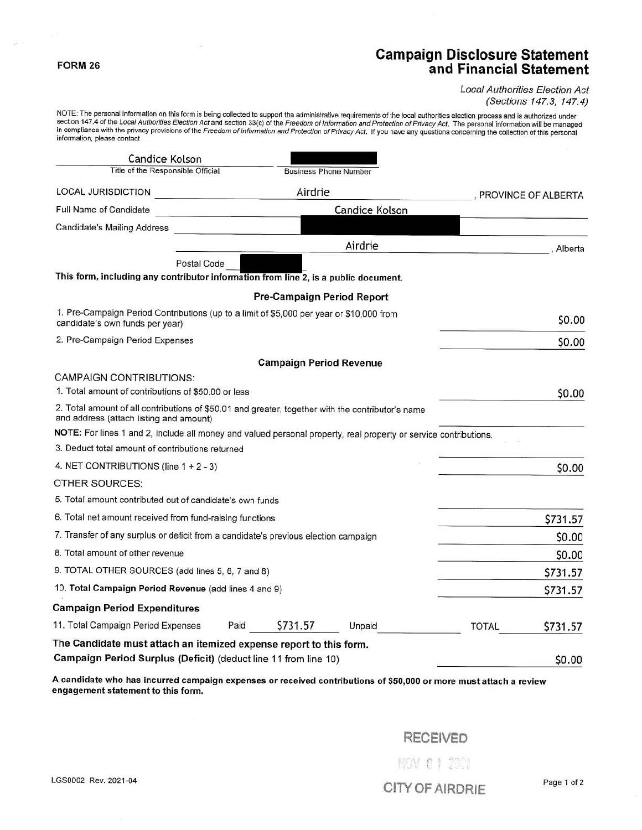## **Campaign Disclosure Statement and Financial Statement**

#### Local Authorities Election Act (Sections 147.3, 147.4)

NOTE: The personal information on this form is being collected to support the administrative requirements of the local authorities election process and is authorized under<br>section 147.4 of the *Local Authorities Election A* information, please contact

| Candice Kolson                                                                                                                               |         |                                   |                       |                     |          |
|----------------------------------------------------------------------------------------------------------------------------------------------|---------|-----------------------------------|-----------------------|---------------------|----------|
| Title of the Responsible Official                                                                                                            |         | <b>Business Phone Number</b>      |                       |                     |          |
| LOCAL JURISDICTION                                                                                                                           | Airdrie |                                   |                       | PROVINCE OF ALBERTA |          |
| Full Name of Candidate                                                                                                                       |         |                                   | <b>Candice Kolson</b> |                     |          |
| Candidate's Mailing Address                                                                                                                  |         |                                   |                       |                     |          |
|                                                                                                                                              |         |                                   | Airdrie               |                     | Alberta  |
| Postal Code                                                                                                                                  |         |                                   |                       |                     |          |
| This form, including any contributor information from line 2, is a public document.                                                          |         |                                   |                       |                     |          |
|                                                                                                                                              |         | <b>Pre-Campaign Period Report</b> |                       |                     |          |
| 1. Pre-Campaign Period Contributions (up to a limit of \$5,000 per year or \$10,000 from<br>candidate's own funds per year)                  |         |                                   |                       |                     | \$0.00   |
| 2. Pre-Campaign Period Expenses                                                                                                              |         |                                   |                       |                     | \$0.00   |
|                                                                                                                                              |         | <b>Campaign Period Revenue</b>    |                       |                     |          |
| <b>CAMPAIGN CONTRIBUTIONS:</b>                                                                                                               |         |                                   |                       |                     |          |
| 1. Total amount of contributions of \$50,00 or less                                                                                          |         |                                   |                       |                     | \$0.00   |
| 2. Total amount of all contributions of \$50.01 and greater, together with the contributor's name<br>and address (attach listing and amount) |         |                                   |                       |                     |          |
| NOTE: For lines 1 and 2, include all money and valued personal property, real property or service contributions.                             |         |                                   |                       |                     |          |
| 3. Deduct total amount of contributions returned                                                                                             |         |                                   |                       |                     |          |
| 4. NET CONTRIBUTIONS (line 1 + 2 - 3)                                                                                                        |         |                                   |                       |                     | \$0.00   |
| OTHER SOURCES:                                                                                                                               |         |                                   |                       |                     |          |
| 5. Total amount contributed out of candidate's own funds                                                                                     |         |                                   |                       |                     |          |
| 6. Total net amount received from fund-raising functions                                                                                     |         |                                   |                       |                     | \$731.57 |
| 7. Transfer of any surplus or deficit from a candidate's previous election campaign                                                          |         |                                   |                       |                     | \$0.00   |
| 8. Total amount of other revenue                                                                                                             |         |                                   |                       |                     | \$0.00   |
| 9. TOTAL OTHER SOURCES (add lines 5, 6, 7 and 8)                                                                                             |         |                                   |                       |                     | \$731.57 |
| 10. Total Campaign Period Revenue (add lines 4 and 9)                                                                                        |         |                                   |                       |                     | \$731.57 |
| <b>Campaign Period Expenditures</b>                                                                                                          |         |                                   |                       |                     |          |
| 11. Total Campaign Period Expenses                                                                                                           | Paid    | \$731.57                          | Unpaid                | TOTAL               | \$731.57 |
| The Candidate must attach an itemized expense report to this form.                                                                           |         |                                   |                       |                     |          |
| Campaign Period Surplus (Deficit) (deduct line 11 from line 10)                                                                              |         |                                   |                       |                     | \$0.00   |

**A candidate who has incurred campaign expenses or received contributions of \$50,000 or more must attach a review**  engagement statement to this form.

# RECEIVED

**FORM 26** 

LGS0002 Rev. 2021-04 Page 1 of 2

NOV 0 1 2921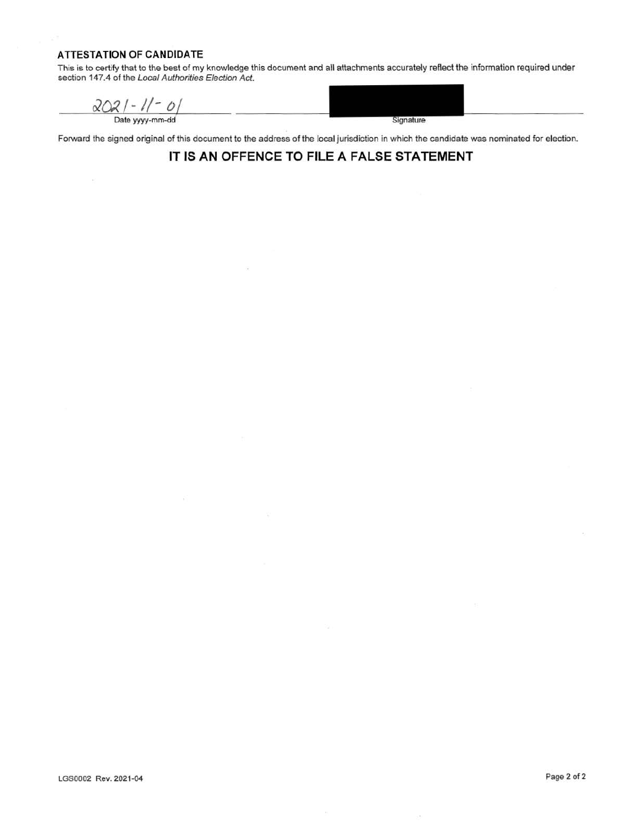#### **ATTESTATION OF CANDIDATE**

This is to certify that to the best of my knowledge this document and all attachments accurately reflect the information required under section 147.4 of the Local Authorities Election Act.

 $202/ - 1/ - 0/$ 

Signature

Forward the signed original of this document to the address of the local jurisdiction in which the candidate was nominated for election.

### **IT IS AN OFFENCE TO FILE A FALSE STATEMENT**